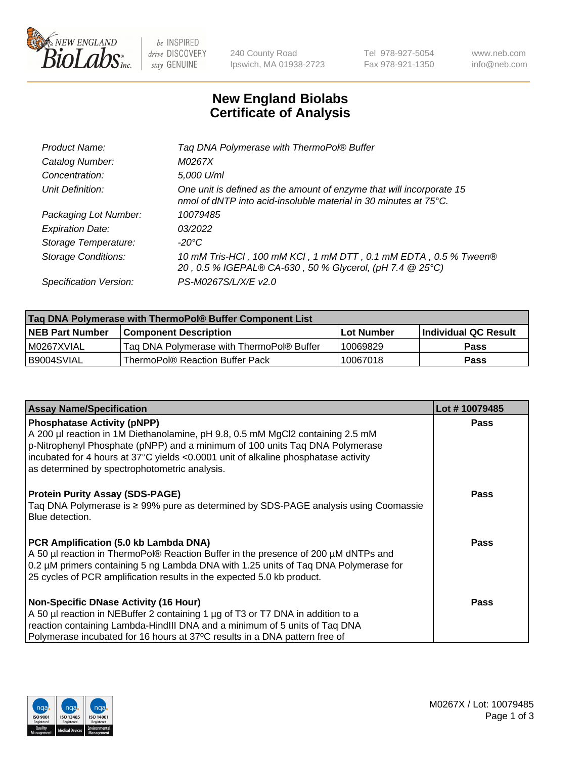

 $be$  INSPIRED drive DISCOVERY stay GENUINE

240 County Road Ipswich, MA 01938-2723 Tel 978-927-5054 Fax 978-921-1350 www.neb.com info@neb.com

## **New England Biolabs Certificate of Analysis**

| Tag DNA Polymerase with ThermoPol® Buffer                                                                                                |
|------------------------------------------------------------------------------------------------------------------------------------------|
| M0267X                                                                                                                                   |
| 5,000 U/ml                                                                                                                               |
| One unit is defined as the amount of enzyme that will incorporate 15<br>nmol of dNTP into acid-insoluble material in 30 minutes at 75°C. |
| 10079485                                                                                                                                 |
| 03/2022                                                                                                                                  |
| $-20^{\circ}$ C                                                                                                                          |
| 10 mM Tris-HCl, 100 mM KCl, 1 mM DTT, 0.1 mM EDTA, 0.5 % Tween®<br>20, 0.5 % IGEPAL® CA-630, 50 % Glycerol, (pH 7.4 @ 25°C)              |
| PS-M0267S/L/X/E v2.0                                                                                                                     |
|                                                                                                                                          |

| ∣Taq DNA Polymerase with ThermoPol® Buffer Component List |                                           |                   |                      |  |  |
|-----------------------------------------------------------|-------------------------------------------|-------------------|----------------------|--|--|
| <b>NEB Part Number</b>                                    | <b>Component Description</b>              | <b>Lot Number</b> | Individual QC Result |  |  |
| I M0267XVIAL                                              | Tag DNA Polymerase with ThermoPol® Buffer | 10069829          | Pass                 |  |  |
| B9004SVIAL                                                | ThermoPol® Reaction Buffer Pack           | 10067018          | Pass                 |  |  |

| <b>Assay Name/Specification</b>                                                                                                                                                                                                                                                                                                             | Lot #10079485 |
|---------------------------------------------------------------------------------------------------------------------------------------------------------------------------------------------------------------------------------------------------------------------------------------------------------------------------------------------|---------------|
| <b>Phosphatase Activity (pNPP)</b><br>A 200 µl reaction in 1M Diethanolamine, pH 9.8, 0.5 mM MgCl2 containing 2.5 mM<br>p-Nitrophenyl Phosphate (pNPP) and a minimum of 100 units Taq DNA Polymerase<br>incubated for 4 hours at 37°C yields <0.0001 unit of alkaline phosphatase activity<br>as determined by spectrophotometric analysis. | <b>Pass</b>   |
| <b>Protein Purity Assay (SDS-PAGE)</b><br>Taq DNA Polymerase is ≥ 99% pure as determined by SDS-PAGE analysis using Coomassie<br>Blue detection.                                                                                                                                                                                            | Pass          |
| PCR Amplification (5.0 kb Lambda DNA)<br>A 50 µl reaction in ThermoPol® Reaction Buffer in the presence of 200 µM dNTPs and<br>0.2 µM primers containing 5 ng Lambda DNA with 1.25 units of Tag DNA Polymerase for<br>25 cycles of PCR amplification results in the expected 5.0 kb product.                                                | Pass          |
| <b>Non-Specific DNase Activity (16 Hour)</b><br>A 50 µl reaction in NEBuffer 2 containing 1 µg of T3 or T7 DNA in addition to a<br>reaction containing Lambda-HindIII DNA and a minimum of 5 units of Taq DNA<br>Polymerase incubated for 16 hours at 37°C results in a DNA pattern free of                                                 | Pass          |

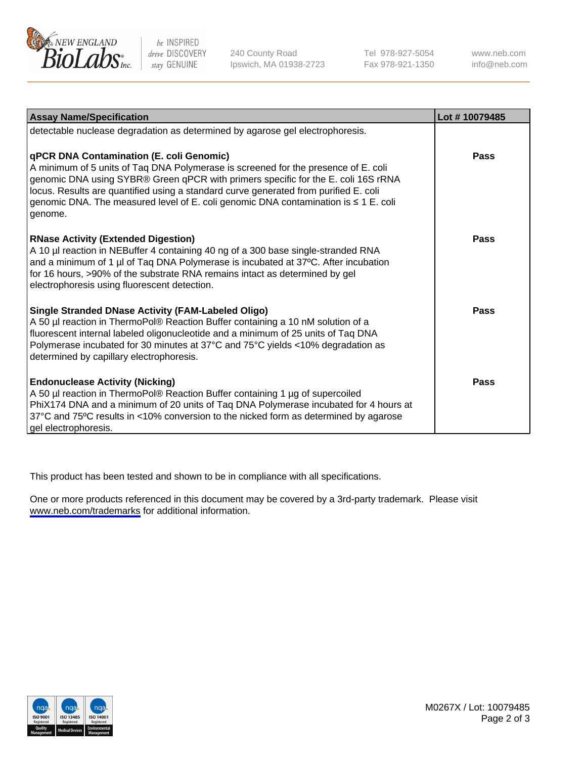

be INSPIRED drive DISCOVERY stay GENUINE

240 County Road Ipswich, MA 01938-2723 Tel 978-927-5054 Fax 978-921-1350

www.neb.com info@neb.com

| <b>Assay Name/Specification</b>                                                                                                                                                                                                                                                                                                                                                                               | Lot #10079485 |
|---------------------------------------------------------------------------------------------------------------------------------------------------------------------------------------------------------------------------------------------------------------------------------------------------------------------------------------------------------------------------------------------------------------|---------------|
| detectable nuclease degradation as determined by agarose gel electrophoresis.                                                                                                                                                                                                                                                                                                                                 |               |
| qPCR DNA Contamination (E. coli Genomic)<br>A minimum of 5 units of Taq DNA Polymerase is screened for the presence of E. coli<br>genomic DNA using SYBR® Green qPCR with primers specific for the E. coli 16S rRNA<br>locus. Results are quantified using a standard curve generated from purified E. coli<br>genomic DNA. The measured level of E. coli genomic DNA contamination is ≤ 1 E. coli<br>genome. | <b>Pass</b>   |
| <b>RNase Activity (Extended Digestion)</b><br>A 10 µl reaction in NEBuffer 4 containing 40 ng of a 300 base single-stranded RNA<br>and a minimum of 1 µl of Taq DNA Polymerase is incubated at 37°C. After incubation<br>for 16 hours, >90% of the substrate RNA remains intact as determined by gel<br>electrophoresis using fluorescent detection.                                                          | Pass          |
| <b>Single Stranded DNase Activity (FAM-Labeled Oligo)</b><br>A 50 µl reaction in ThermoPol® Reaction Buffer containing a 10 nM solution of a<br>fluorescent internal labeled oligonucleotide and a minimum of 25 units of Taq DNA<br>Polymerase incubated for 30 minutes at 37°C and 75°C yields <10% degradation as<br>determined by capillary electrophoresis.                                              | Pass          |
| <b>Endonuclease Activity (Nicking)</b><br>A 50 µl reaction in ThermoPol® Reaction Buffer containing 1 µg of supercoiled<br>PhiX174 DNA and a minimum of 20 units of Taq DNA Polymerase incubated for 4 hours at<br>37°C and 75°C results in <10% conversion to the nicked form as determined by agarose<br>gel electrophoresis.                                                                               | Pass          |

This product has been tested and shown to be in compliance with all specifications.

One or more products referenced in this document may be covered by a 3rd-party trademark. Please visit <www.neb.com/trademarks>for additional information.